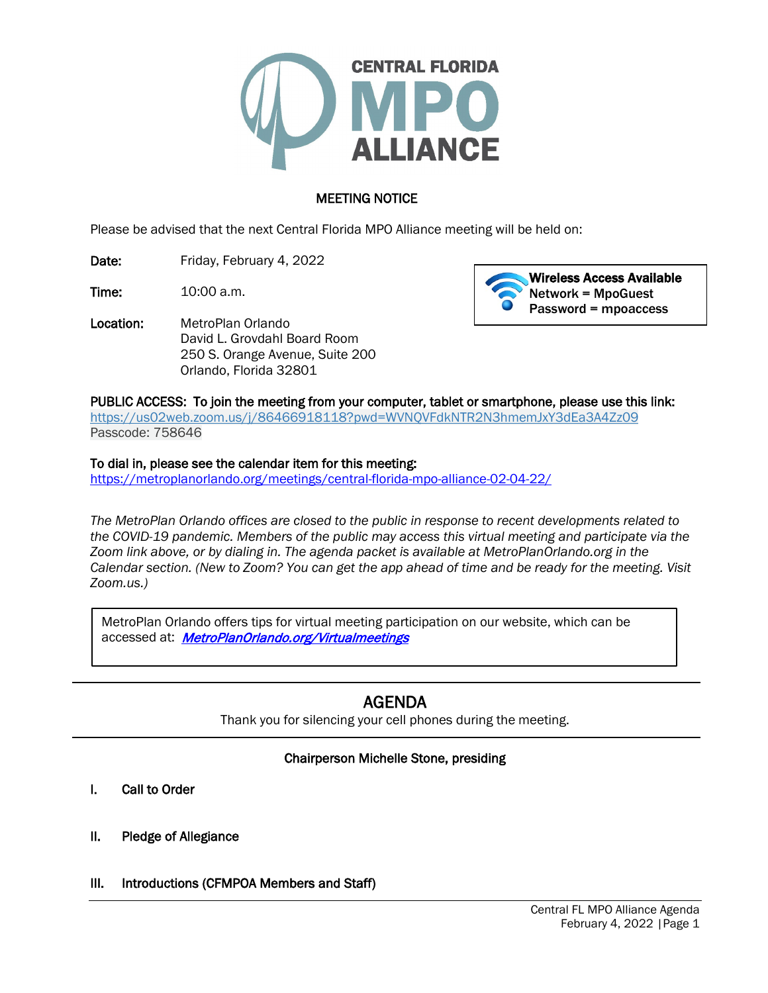

# MEETING NOTICE

Please be advised that the next Central Florida MPO Alliance meeting will be held on:

Date: Friday, February 4, 2022

**Time:** 10:00 a.m.

Location: MetroPlan Orlando David L. Grovdahl Board Room 250 S. Orange Avenue, Suite 200 Orlando, Florida 32801



PUBLIC ACCESS: To join the meeting from your computer, tablet or smartphone, please use this link: <https://us02web.zoom.us/j/86466918118?pwd=WVNQVFdkNTR2N3hmemJxY3dEa3A4Zz09> Passcode: 758646

#### To dial in, please see the calendar item for this meeting:

<https://metroplanorlando.org/meetings/central-florida-mpo-alliance-02-04-22/>

*The MetroPlan Orlando offices are closed to the public in response to recent developments related to the COVID-19 pandemic. Members of the public may access this virtual meeting and participate via the Zoom link above, or by dialing in. The agenda packet is available at MetroPlanOrlando.org in the Calendar section. (New to Zoom? You can get the app ahead of time and be ready for the meeting. Visit Zoom.us.)*

MetroPlan Orlando offers tips for virtual meeting participation on our website, which can be accessed at: MetroPlanOrlando.org/Virtualmeetings

# AGENDA

Thank you for silencing your cell phones during the meeting.

# Chairperson Michelle Stone, presiding

I. Call to Order

I I I l

- II. Pledge of Allegiance
- III. Introductions (CFMPOA Members and Staff)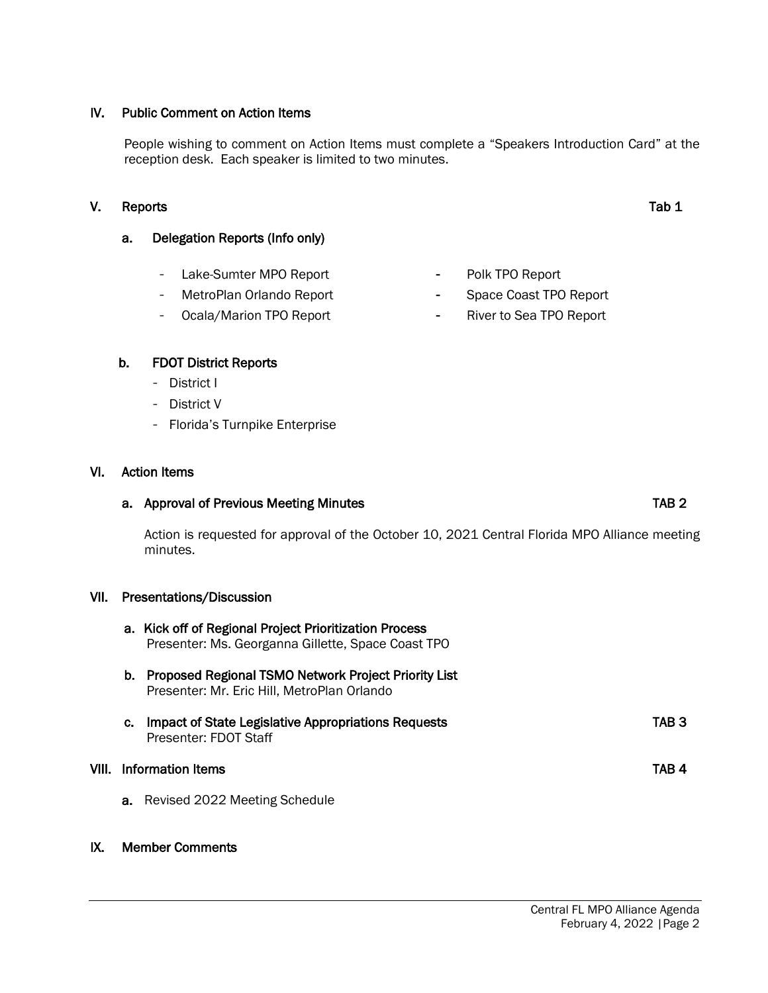## IV. Public Comment on Action Items

People wishing to comment on Action Items must complete a "Speakers Introduction Card" at the reception desk. Each speaker is limited to two minutes.

# V. Reports Tab 1

# a. Delegation Reports (Info only)

- Lake-Sumter MPO Report
- MetroPlan Orlando Report
- Ocala/Marion TPO Report

## b. FDOT District Reports

- District I
- District V
- Florida's Turnpike Enterprise

## VI. Action Items

## a. Approval of Previous Meeting Minutes **TAB 2** and the state of the state of the state of the state of the state of the state of the state of the state of the state of the state of the state of the state of the state of t

Action is requested for approval of the October 10, 2021 Central Florida MPO Alliance meeting minutes.

#### VII. Presentations/Discussion

- a. Kick off of Regional Project Prioritization Process Presenter: Ms. Georganna Gillette, Space Coast TPO
- b. Proposed Regional TSMO Network Project Priority List Presenter: Mr. Eric Hill, MetroPlan Orlando
- c. Impact of State Legislative Appropriations Requests TAB 3 Presenter: FDOT Staff

#### VIII. Information Items TAB 4

a. Revised 2022 Meeting Schedule

#### IX. Member Comments

- **-** Polk TPO Report
- **-** Space Coast TPO Report
- **-** River to Sea TPO Report